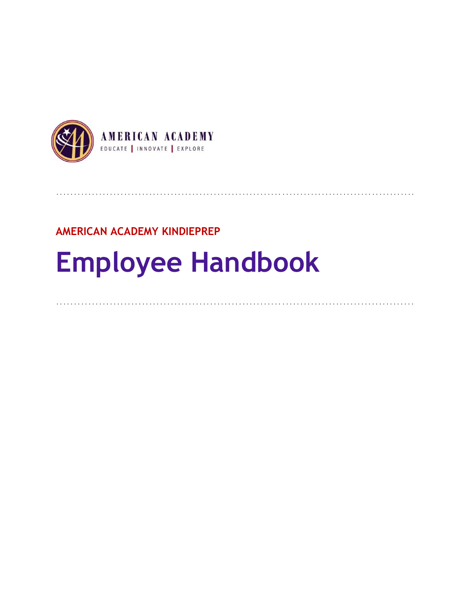

# **AMERICAN ACADEMY KINDIEPREP**

# **Employee Handbook**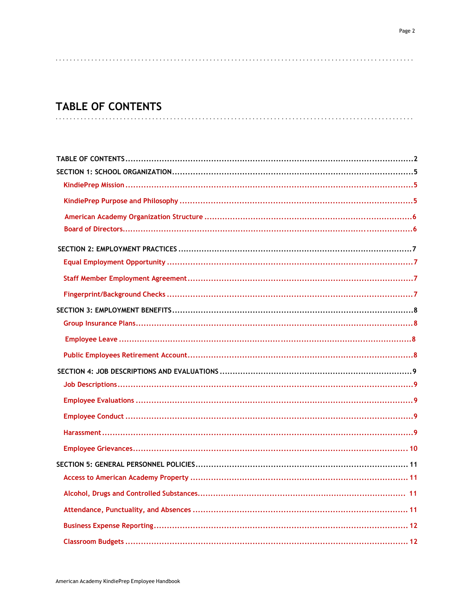# **TABLE OF CONTENTS**

| . 11 |  |
|------|--|
|      |  |
|      |  |
|      |  |
|      |  |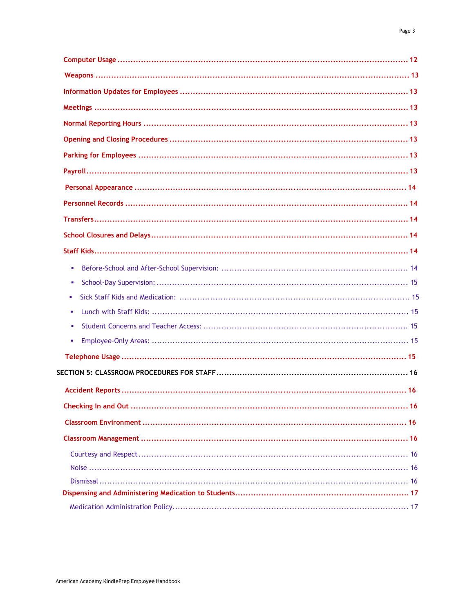| × |
|---|
| × |
| ٠ |
| ٠ |
| × |
| × |
|   |
|   |
|   |
|   |
|   |
|   |
|   |
|   |
|   |
|   |
|   |
|   |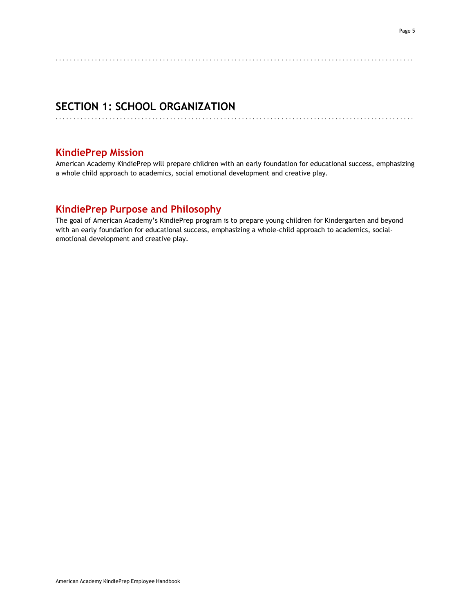# **SECTION 1: SCHOOL ORGANIZATION**

## **KindiePrep Mission**

American Academy KindiePrep will prepare children with an early foundation for educational success, emphasizing a whole child approach to academics, social emotional development and creative play.

. . . . . . . . . . . . . . . . . . . . . . . . . . . . . . . . . . . . . . . . . . . . . . . . . . . . . . . . . . . . . . . . . . . . . . . . . . . . . . . . . . . . . . . . . . . . . . . . . . . .

. . . . . . . . . . . . . . . . . . . . . . . . . . . . . . . . . . . . . . . . . . . . . . . . . . . . . . . . . . . . . . . . . . . . . . . . . . . . . . . . . . . . . . . . . . . . . . . . . . . .

# **KindiePrep Purpose and Philosophy**

The goal of American Academy's KindiePrep program is to prepare young children for Kindergarten and beyond with an early foundation for educational success, emphasizing a whole-child approach to academics, socialemotional development and creative play.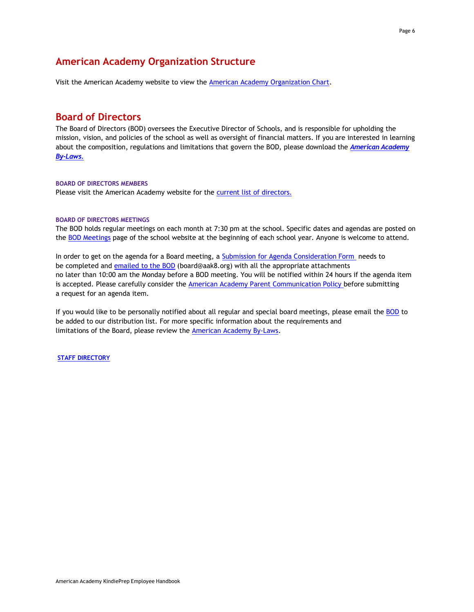## **American Academy Organization Structure**

Visit the American Academy website to view the [American Academy](http://www.americanacademyk8.org/aastaffhome/bod/policies/AAOrganizationChart.pdf) Organization Chart.

#### **Board of Directors**

The Board of Directors (BOD) oversees the Executive Director of Schools, and is responsible for upholding the mission, vision, and policies of the school as well as oversight of financial matters. If you are interested in learning about the composition, regulations and limitations that govern the BOD, please download the *[American](http://www.americanacademyk8.org/aastaffhome/bod/policies/AABylaws.pdf) Academy [By-Laws.](http://www.americanacademyk8.org/policies.aspx)*

#### **BOARD OF DIRECTORS MEMBERS**

Please visit the American Academy website for the **current list of [directors.](https://www.aak8.org/apps/pages/index.jsp?uREC_ID=810782&type=d&pREC_ID=1673856)** 

#### **BOARD OF DIRECTORS MEETINGS**

The BOD holds regular meetings on each month at 7:30 pm at the school. Specific dates and agendas are posted on the BOD [Meetings](https://www.aak8.org/apps/pages/aa-bod-meetingsagendas) page of the school website at the beginning of each school year. Anyone is welcome to attend.

In order to get on the agenda for a Board meeting, a Submission for Agenda [Consideration](http://www.americanacademyk8.org/aastaffhome/bod/downloads/SubmissionForAgendaConsiderationForm.pdf) Form needs to be completed and [emailed](mailto:bod@aak8.org) to the BOD (board@aak8.org) with all the appropriate attachments no later than 10:00 am the Monday before a BOD meeting. You will be notified within 24 hours if the agenda item is accepted. Please carefully consider the [American Academy](http://www.americanacademyk8.org/aastaffhome/bod/policies/ParentCommunicationPolicy.pdf) Parent Communication Policy before submitting a request for an agenda item.

If you would like to be personally notified about all regular and special board meetings, please email the [BOD](mailto:bod@aak8.org) to be added to our distribution list. For more specific information about the requirements and limitations of the Board, please review the [American Academy](http://www.americanacademyk8.org/aastaffhome/bod/policies/AABylaws.pdf) By-Laws.

**STAFF [DIRECTORY](http://www.americanacademyk8.org/admin/staffdirectory.aspx)**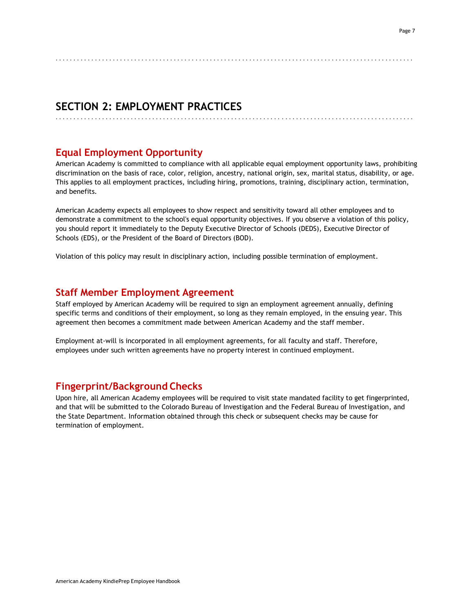# **SECTION 2: EMPLOYMENT PRACTICES**

# **Equal Employment Opportunity**

American Academy is committed to compliance with all applicable equal employment opportunity laws, prohibiting discrimination on the basis of race, color, religion, ancestry, national origin, sex, marital status, disability, or age. This applies to all employment practices, including hiring, promotions, training, disciplinary action, termination, and benefits.

. . . . . . . . . . . . . . . . . . . . . . . . . . . . . . . . . . . . . . . . . . . . . . . . . . . . . . . . . . . . . . . . . . . . . . . . . . . . . . . . . . . . . . . . . . . . . . . . . . . .

. . . . . . . . . . . . . . . . . . . . . . . . . . . . . . . . . . . . . . . . . . . . . . . . . . . . . . . . . . . . . . . . . . . . . . . . . . . . . . . . . . . . . . . . . . . . . . . . . . . .

American Academy expects all employees to show respect and sensitivity toward all other employees and to demonstrate a commitment to the school's equal opportunity objectives. If you observe a violation of this policy, you should report it immediately to the Deputy Executive Director of Schools (DEDS), Executive Director of Schools (EDS), or the President of the Board of Directors (BOD).

Violation of this policy may result in disciplinary action, including possible termination of employment.

# **Staff Member Employment Agreement**

Staff employed by American Academy will be required to sign an employment agreement annually, defining specific terms and conditions of their employment, so long as they remain employed, in the ensuing year. This agreement then becomes a commitment made between American Academy and the staff member.

Employment at-will is incorporated in all employment agreements, for all faculty and staff. Therefore, employees under such written agreements have no property interest in continued employment.

## **Fingerprint/Background Checks**

Upon hire, all American Academy employees will be required to visit state mandated facility to get fingerprinted, and that will be submitted to the Colorado Bureau of Investigation and the Federal Bureau of Investigation, and the State Department. Information obtained through this check or subsequent checks may be cause for termination of employment.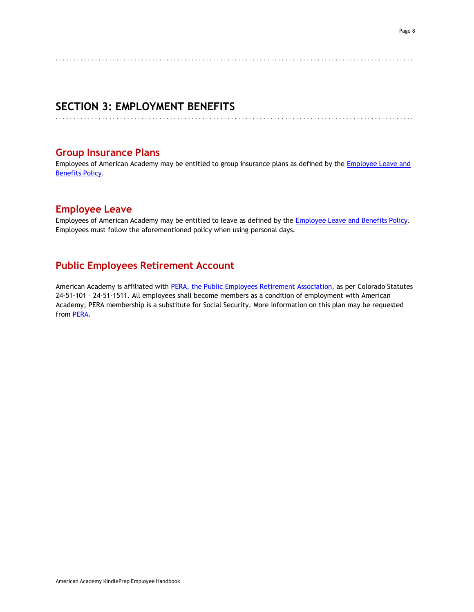# . . . . . . . . . . . . . . . . . . . . . . . . . . . . . . . . . . . . . . . . . . . . . . . . . . . . . . . . . . . . . . . . . . . . . . . . . . . . . . . . . . . . . . . . . . . . . . . . . . . .

. . . . . . . . . . . . . . . . . . . . . . . . . . . . . . . . . . . . . . . . . . . . . . . . . . . . . . . . . . . . . . . . . . . . . . . . . . . . . . . . . . . . . . . . . . . . . . . . . . . .

# **SECTION 3: EMPLOYMENT BENEFITS**

## **Group Insurance Plans**

Employees of American Academy may be entitled to group insurance plans as defined by the [Employee](http://www.americanacademyk8.org/aastaffhome/BOD/policies/EmployeeLeave%26BenefitsPolicy.pdf) Leave and [Benefits](http://www.americanacademyk8.org/aastaffhome/BOD/policies/EmployeeLeave%26BenefitsPolicy.pdf) Policy.

# **Employee Leave**

Employees of American Academy may be entitled to leave as defined by the **Employee Leave and Benefits Policy**. Employees must follow the aforementioned policy when using personal days.

# **Public Employees Retirement Account**

American Academy is affiliated with PERA, the [Public Employees](http://www.copera.org/) Retirement Association, as per Colorado Statutes 24-51-101 – 24-51-1511. All employees shall become members as a condition of employment with American Academy; PERA membership is a substitute for Social Security. More information on this plan may be requested from [PERA.](http://www.copera.org/)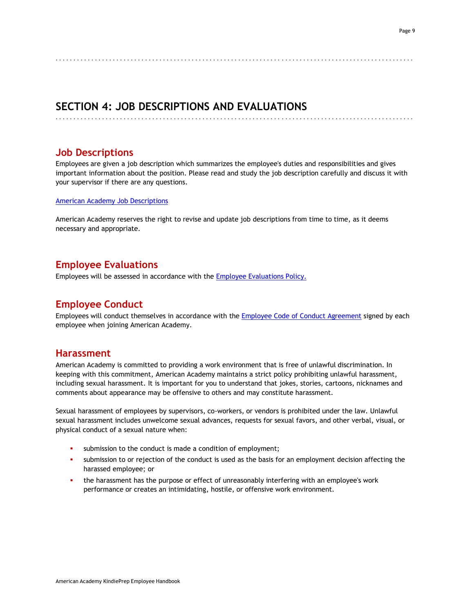# **SECTION 4: JOB DESCRIPTIONS AND EVALUATIONS**

. . . . . . . . . . . . . . . . . . . . . . . . . . . . . . . . . . . . . . . . . . . . . . . . . . . . . . . . . . . . . . . . . . . . . . . . . . . . . . . . . . . . . . . . . . . . . . . . . . . .

## **Job Descriptions**

Employees are given a job description which summarizes the employee's duties and responsibilities and gives important information about the position. Please read and study the job description carefully and discuss it with your supervisor if there are any questions.

. . . . . . . . . . . . . . . . . . . . . . . . . . . . . . . . . . . . . . . . . . . . . . . . . . . . . . . . . . . . . . . . . . . . . . . . . . . . . . . . . . . . . . . . . . . . . . . . . . . .

[American Academy](https://www.aak8.org/apps/pages/aa-staff-jobdescriptions) Job Descriptions

American Academy reserves the right to revise and update job descriptions from time to time, as it deems necessary and appropriate.

## **Employee Evaluations**

Employees will be assessed in accordance with the Employee [Evaluations](http://www.americanacademyk8.org/aastaffhome/BOD/policies/EmployeeEvaluationsPolicy.pdf) Policy.

## **Employee Conduct**

Employees will conduct themselves in accordance with the **Employee Code of Conduct [Agreement](http://www.americanacademyk8.org/aastaffhome/BOD/forms/Employment/HR9-EmployeeCodeofConductAgreementForm.pdf) signed** by each employee when joining American Academy.

## **Harassment**

American Academy is committed to providing a work environment that is free of unlawful discrimination. In keeping with this commitment, American Academy maintains a strict policy prohibiting unlawful harassment, including sexual harassment. It is important for you to understand that jokes, stories, cartoons, nicknames and comments about appearance may be offensive to others and may constitute harassment.

Sexual harassment of employees by supervisors, co-workers, or vendors is prohibited under the law. Unlawful sexual harassment includes unwelcome sexual advances, requests for sexual favors, and other verbal, visual, or physical conduct of a sexual nature when:

- submission to the conduct is made a condition of employment;
- submission to or rejection of the conduct is used as the basis for an employment decision affecting the harassed employee; or
- the harassment has the purpose or effect of unreasonably interfering with an employee's work performance or creates an intimidating, hostile, or offensive work environment.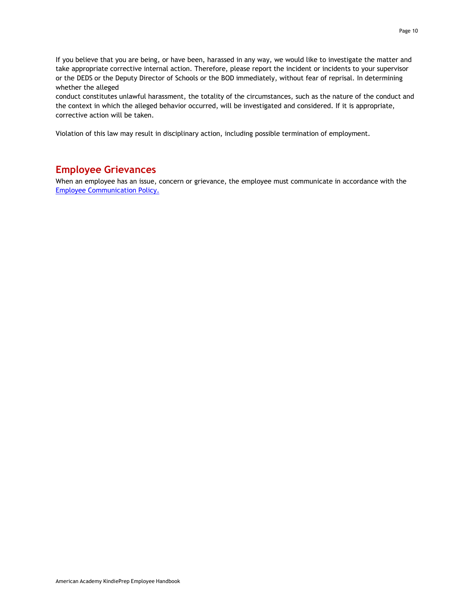If you believe that you are being, or have been, harassed in any way, we would like to investigate the matter and take appropriate corrective internal action. Therefore, please report the incident or incidents to your supervisor or the DEDS or the Deputy Director of Schools or the BOD immediately, without fear of reprisal. In determining whether the alleged

conduct constitutes unlawful harassment, the totality of the circumstances, such as the nature of the conduct and the context in which the alleged behavior occurred, will be investigated and considered. If it is appropriate, corrective action will be taken.

Violation of this law may result in disciplinary action, including possible termination of employment.

## **Employee Grievances**

When an employee has an issue, concern or grievance, the employee must communicate in accordance with the Employee [Communication](http://www.americanacademyk8.org/aastaffhome/BOD/policies/EmployeeCommunicationPolicy.pdf) Policy.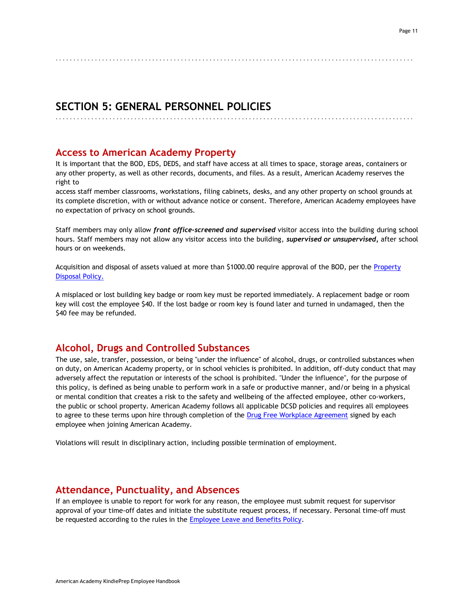#### . . . . . . . . . . . . . . . . . . . . . . . . . . . . . . . . . . . . . . . . . . . . . . . . . . . . . . . . . . . . . . . . . . . . . . . . . . . . . . . . . . . . . . . . . . . . . . . . . . . .

## **SECTION 5: GENERAL PERSONNEL POLICIES**

. . . . . . . . . . . . . . . . . . . . . . . . . . . . . . . . . . . . . . . . . . . . . . . . . . . . . . . . . . . . . . . . . . . . . . . . . . . . . . . . . . . . . . . . . . . . . . . . . . . .

#### **Access to American Academy Property**

It is important that the BOD, EDS, DEDS, and staff have access at all times to space, storage areas, containers or any other property, as well as other records, documents, and files. As a result, American Academy reserves the right to

access staff member classrooms, workstations, filing cabinets, desks, and any other property on school grounds at its complete discretion, with or without advance notice or consent. Therefore, American Academy employees have no expectation of privacy on school grounds.

Staff members may only allow *front office-screened and supervised* visitor access into the building during school hours. Staff members may not allow any visitor access into the building, *supervised or unsupervised,* after school hours or on weekends.

Acquisition and disposal of assets valued at more than \$1000.00 require approval of the BOD, per the [Property](http://www.americanacademyk8.org/aastaffhome/bod/policies/PropertyDisposalPolicy.pdf) [Disposal](http://www.americanacademyk8.org/aastaffhome/bod/policies/PropertyDisposalPolicy.pdf) Policy.

A misplaced or lost building key badge or room key must be reported immediately. A replacement badge or room key will cost the employee \$40. If the lost badge or room key is found later and turned in undamaged, then the \$40 fee may be refunded.

## **Alcohol, Drugs and Controlled Substances**

The use, sale, transfer, possession, or being "under the influence" of alcohol, drugs, or controlled substances when on duty, on American Academy property, or in school vehicles is prohibited. In addition, off-duty conduct that may adversely affect the reputation or interests of the school is prohibited. "Under the influence", for the purpose of this policy, is defined as being unable to perform work in a safe or productive manner, and/or being in a physical or mental condition that creates a risk to the safety and wellbeing of the affected employee, other co-workers, the public or school property. American Academy follows all applicable DCSD policies and requires all employees to agree to these terms upon hire through completion of the Drug [Free Workplace](http://www.americanacademyk8.org/aastaffhome/BOD/forms/Employment/HR7-DrugFreeWorkplaceAgreement.pdf) Agreement signed by each employee when joining American Academy.

Violations will result in disciplinary action, including possible termination of employment.

#### **Attendance, Punctuality, and Absences**

If an employee is unable to report for work for any reason, the employee must submit request for supervisor approval of your time-off dates and initiate the substitute request process, if necessary. Personal time-off must be requested according to the rules in the [Employee](http://www.americanacademyk8.org/aastaffhome/BOD/policies/EmployeeLeave%26BenefitsPolicy.pdf) Leave and Benefits Policy.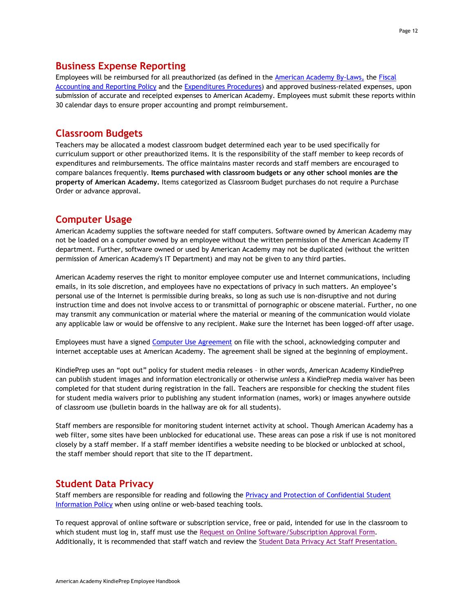## **Business Expense Reporting**

Employees will be reimbursed for all preauthorized (as defined in the [American Academy](http://www.americanacademyk8.org/aastaffhome/bod/policies/AABylaws.pdf) By-Laws, the [Fiscal](http://www.americanacademyk8.org/aastaffhome/BOD/policies/FiscalAccounting%26ReportingPolicy.pdf) [Accounting and](http://www.americanacademyk8.org/aastaffhome/BOD/policies/FiscalAccounting%26ReportingPolicy.pdf) Reporting Policy and the [Expenditures](http://www.americanacademyk8.org/aastaffhome/BOD/procedures/ExpendituresProcedure.pdf) Procedures) and approved business-related expenses, upon submission of accurate and receipted expenses to American Academy. Employees must submit these reports within 30 calendar days to ensure proper accounting and prompt reimbursement.

## **Classroom Budgets**

Teachers may be allocated a modest classroom budget determined each year to be used specifically for curriculum support or other preauthorized items. It is the responsibility of the staff member to keep records of expenditures and reimbursements. The office maintains master records and staff members are encouraged to compare balances frequently. **Items purchased with classroom budgets or any other school monies are the property of American Academy.** Items categorized as Classroom Budget purchases do not require a Purchase Order or advance approval.

# **Computer Usage**

American Academy supplies the software needed for staff computers. Software owned by American Academy may not be loaded on a computer owned by an employee without the written permission of the American Academy IT department. Further, software owned or used by American Academy may not be duplicated (without the written permission of American Academy's IT Department) and may not be given to any third parties.

American Academy reserves the right to monitor employee computer use and Internet communications, including emails, in its sole discretion, and employees have no expectations of privacy in such matters. An employee's personal use of the Internet is permissible during breaks, so long as such use is non-disruptive and not during instruction time and does not involve access to or transmittal of pornographic or obscene material. Further, no one may transmit any communication or material where the material or meaning of the communication would violate any applicable law or would be offensive to any recipient. Make sure the Internet has been logged-off after usage.

Employees must have a signed Computer [Use Agreement](http://www.americanacademyk8.org/aastaffhome/BOD/forms/employment/HR8-ComputerUseAgreementForm.pdf) on file with the school, acknowledging computer and internet acceptable uses at American Academy. The agreement shall be signed at the beginning of employment.

KindiePrep uses an "opt out" policy for student media releases – in other words, American Academy KindiePrep can publish student images and information electronically or otherwise *unless* a KindiePrep media waiver has been completed for that student during registration in the fall. Teachers are responsible for checking the student files for student media waivers prior to publishing any student information (names, work) or images anywhere outside of classroom use (bulletin boards in the hallway are ok for all students).

Staff members are responsible for monitoring student internet activity at school. Though American Academy has a web filter, some sites have been unblocked for educational use. These areas can pose a risk if use is not monitored closely by a staff member. If a staff member identifies a website needing to be blocked or unblocked at school, the staff member should report that site to the IT department.

# **Student Data Privacy**

Staff members are responsible for reading and following the Privacy and Protection of [Confidential](http://www.americanacademyk8.org/aastaffhome/bod/policies/PrivacyProtectionConfidentialStudentInformationPolicy.pdf) Student [Information](http://www.americanacademyk8.org/aastaffhome/bod/policies/PrivacyProtectionConfidentialStudentInformationPolicy.pdf) Policy when using online or web-based teaching tools.

To request approval of online software or subscription service, free or paid, intended for use in the classroom to which student must log in, staff must use the Request on [Online Software/Subscription](https://form.jotform.com/aak8/softwaresubscriptionrequest) Approval Form. Additionally, it is recommended that staff watch and review the Student Data Privacy Act Staff [Presentation.](http://www.americanacademyk8.org/aastaffhome/bod/forms/dataprivacy/StudentDataPrivacy_StaffTrainingPresentation.pptx)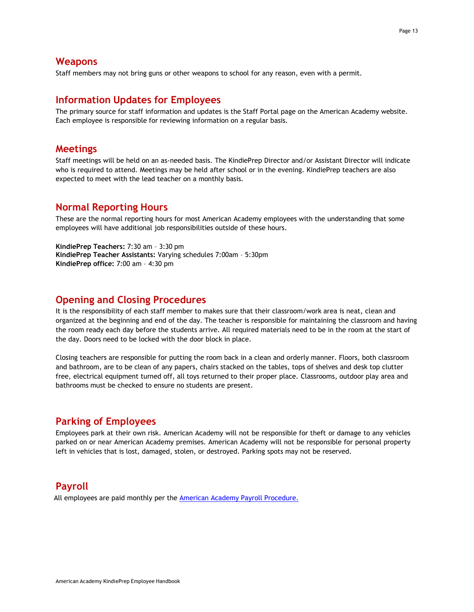#### **Weapons**

Staff members may not bring guns or other weapons to school for any reason, even with a permit.

#### **Information Updates for Employees**

The primary source for staff information and updates is the Staff Portal page on the American Academy website. Each employee is responsible for reviewing information on a regular basis.

#### **Meetings**

Staff meetings will be held on an as-needed basis. The KindiePrep Director and/or Assistant Director will indicate who is required to attend. Meetings may be held after school or in the evening. KindiePrep teachers are also expected to meet with the lead teacher on a monthly basis.

#### **Normal Reporting Hours**

These are the normal reporting hours for most American Academy employees with the understanding that some employees will have additional job responsibilities outside of these hours.

**KindiePrep Teachers:** 7:30 am – 3:30 pm **KindiePrep Teacher Assistants:** Varying schedules 7:00am – 5:30pm **KindiePrep office:** 7:00 am – 4:30 pm

#### **Opening and Closing Procedures**

It is the responsibility of each staff member to makes sure that their classroom/work area is neat, clean and organized at the beginning and end of the day. The teacher is responsible for maintaining the classroom and having the room ready each day before the students arrive. All required materials need to be in the room at the start of the day. Doors need to be locked with the door block in place.

Closing teachers are responsible for putting the room back in a clean and orderly manner. Floors, both classroom and bathroom, are to be clean of any papers, chairs stacked on the tables, tops of shelves and desk top clutter free, electrical equipment turned off, all toys returned to their proper place. Classrooms, outdoor play area and bathrooms must be checked to ensure no students are present.

#### **Parking of Employees**

Employees park at their own risk. American Academy will not be responsible for theft or damage to any vehicles parked on or near American Academy premises. American Academy will not be responsible for personal property left in vehicles that is lost, damaged, stolen, or destroyed. Parking spots may not be reserved.

#### **Payroll**

All employees are paid monthly per the [American Academy](http://www.americanacademyk8.org/aastaffhome/BOD/procedures/PayrollProcedure.pdf) Payroll Procedure.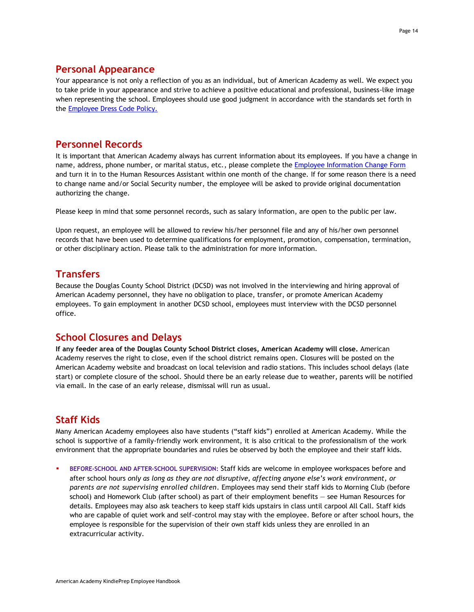#### **Personal Appearance**

Your appearance is not only a reflection of you as an individual, but of American Academy as well. We expect you to take pride in your appearance and strive to achieve a positive educational and professional, business-like image when representing the school. Employees should use good judgment in accordance with the standards set forth in the [Employee](http://www.americanacademyk8.org/aastaffhome/BOD/policies/EmployeeDressCodePolicy.pdf) Dress Code Policy.

#### **Personnel Records**

It is important that American Academy always has current information about its employees. If you have a change in name, address, phone number, or marital status, etc., please complete the Employee [Information](http://www.americanacademyk8.org/aastaffhome/BOD/forms/staff/EmployeeInformationChangeForm.pdf) Change Form and turn it in to the Human Resources Assistant within one month of the change. If for some reason there is a need to change name and/or Social Security number, the employee will be asked to provide original documentation authorizing the change.

Please keep in mind that some personnel records, such as salary information, are open to the public per law.

Upon request, an employee will be allowed to review his/her personnel file and any of his/her own personnel records that have been used to determine qualifications for employment, promotion, compensation, termination, or other disciplinary action. Please talk to the administration for more information.

## **Transfers**

Because the Douglas County School District (DCSD) was not involved in the interviewing and hiring approval of American Academy personnel, they have no obligation to place, transfer, or promote American Academy employees. To gain employment in another DCSD school, employees must interview with the DCSD personnel office.

## **School Closures and Delays**

**If any feeder area of the Douglas County School District closes, American Academy will close.** American Academy reserves the right to close, even if the school district remains open. Closures will be posted on the American Academy website and broadcast on local television and radio stations. This includes school delays (late start) or complete closure of the school. Should there be an early release due to weather, parents will be notified via email. In the case of an early release, dismissal will run as usual.

## **Staff Kids**

Many American Academy employees also have students ("staff kids") enrolled at American Academy. While the school is supportive of a family-friendly work environment, it is also critical to the professionalism of the work environment that the appropriate boundaries and rules be observed by both the employee and their staff kids.

BEFORE-SCHOOL AND AFTER-SCHOOL SUPERVISION: Staff kids are welcome in employee workspaces before and after school hours *only as long as they are not disruptive, affecting anyone else's work environment, or parents are not supervising enrolled children.* Employees may send their staff kids to Morning Club (before school) and Homework Club (after school) as part of their employment benefits — see Human Resources for details. Employees may also ask teachers to keep staff kids upstairs in class until carpool All Call. Staff kids who are capable of quiet work and self-control may stay with the employee. Before or after school hours, the employee is responsible for the supervision of their own staff kids unless they are enrolled in an extracurricular activity.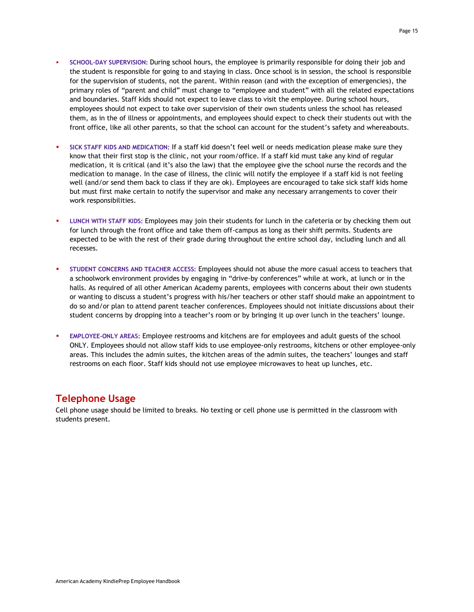- SCHOOL-DAY SUPERVISION: During school hours, the employee is primarily responsible for doing their job and the student is responsible for going to and staying in class. Once school is in session, the school is responsible for the supervision of students, not the parent. Within reason (and with the exception of emergencies), the primary roles of "parent and child" must change to "employee and student" with all the related expectations and boundaries. Staff kids should not expect to leave class to visit the employee. During school hours, employees should not expect to take over supervision of their own students unless the school has released them, as in the of illness or appointments, and employees should expect to check their students out with the front office, like all other parents, so that the school can account for the student's safety and whereabouts.
- **SICK STAFF KIDS AND MEDICATION:** If a staff kid doesn't feel well or needs medication please make sure they know that their first stop is the clinic, not your room/office. If a staff kid must take any kind of regular medication, it is critical (and it's also the law) that the employee give the school nurse the records and the medication to manage. In the case of illness, the clinic will notify the employee if a staff kid is not feeling well (and/or send them back to class if they are ok). Employees are encouraged to take sick staff kids home but must first make certain to notify the supervisor and make any necessary arrangements to cover their work responsibilities.
- **LUNCH WITH STAFF KIDS:** Employees may join their students for lunch in the cafeteria or by checking them out for lunch through the front office and take them off-campus as long as their shift permits. Students are expected to be with the rest of their grade during throughout the entire school day, including lunch and all recesses.
- **STUDENT CONCERNS AND TEACHER ACCESS:** Employees should not abuse the more casual access to teachers that a schoolwork environment provides by engaging in "drive-by conferences" while at work, at lunch or in the halls. As required of all other American Academy parents, employees with concerns about their own students or wanting to discuss a student's progress with his/her teachers or other staff should make an appointment to do so and/or plan to attend parent teacher conferences. Employees should not initiate discussions about their student concerns by dropping into a teacher's room or by bringing it up over lunch in the teachers' lounge.
- **EMPLOYEE-ONLY AREAS:** Employee restrooms and kitchens are for employees and adult guests of the school ONLY. Employees should not allow staff kids to use employee-only restrooms, kitchens or other employee-only areas. This includes the admin suites, the kitchen areas of the admin suites, the teachers' lounges and staff restrooms on each floor. Staff kids should not use employee microwaves to heat up lunches, etc.

# **Telephone Usage**

Cell phone usage should be limited to breaks. No texting or cell phone use is permitted in the classroom with students present.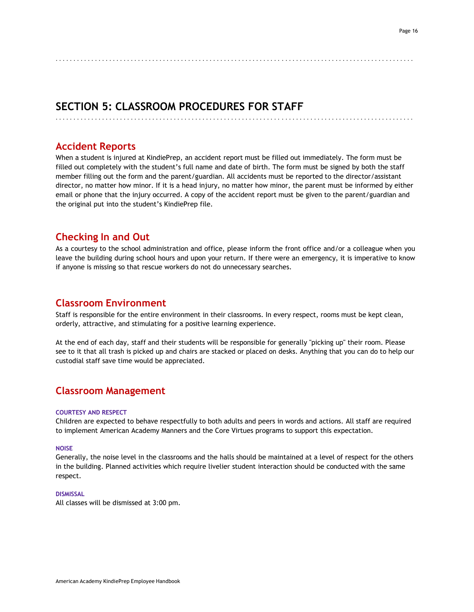# **SECTION 5: CLASSROOM PROCEDURES FOR STAFF**

## **Accident Reports**

When a student is injured at KindiePrep, an accident report must be filled out immediately. The form must be filled out completely with the student's full name and date of birth. The form must be signed by both the staff member filling out the form and the parent/guardian. All accidents must be reported to the director/assistant director, no matter how minor. If it is a head injury, no matter how minor, the parent must be informed by either email or phone that the injury occurred. A copy of the accident report must be given to the parent/guardian and the original put into the student's KindiePrep file.

. . . . . . . . . . . . . . . . . . . . . . . . . . . . . . . . . . . . . . . . . . . . . . . . . . . . . . . . . . . . . . . . . . . . . . . . . . . . . . . . . . . . . . . . . . . . . . . . . . . .

. . . . . . . . . . . . . . . . . . . . . . . . . . . . . . . . . . . . . . . . . . . . . . . . . . . . . . . . . . . . . . . . . . . . . . . . . . . . . . . . . . . . . . . . . . . . . . . . . . . .

## **Checking In and Out**

As a courtesy to the school administration and office, please inform the front office and/or a colleague when you leave the building during school hours and upon your return. If there were an emergency, it is imperative to know if anyone is missing so that rescue workers do not do unnecessary searches.

## **Classroom Environment**

Staff is responsible for the entire environment in their classrooms. In every respect, rooms must be kept clean, orderly, attractive, and stimulating for a positive learning experience.

At the end of each day, staff and their students will be responsible for generally "picking up" their room. Please see to it that all trash is picked up and chairs are stacked or placed on desks. Anything that you can do to help our custodial staff save time would be appreciated.

## **Classroom Management**

#### **COURTESY AND RESPECT**

Children are expected to behave respectfully to both adults and peers in words and actions. All staff are required to implement American Academy Manners and the Core Virtues programs to support this expectation.

#### **NOISE**

Generally, the noise level in the classrooms and the halls should be maintained at a level of respect for the others in the building. Planned activities which require livelier student interaction should be conducted with the same respect.

#### **DISMISSAL**

All classes will be dismissed at 3:00 pm.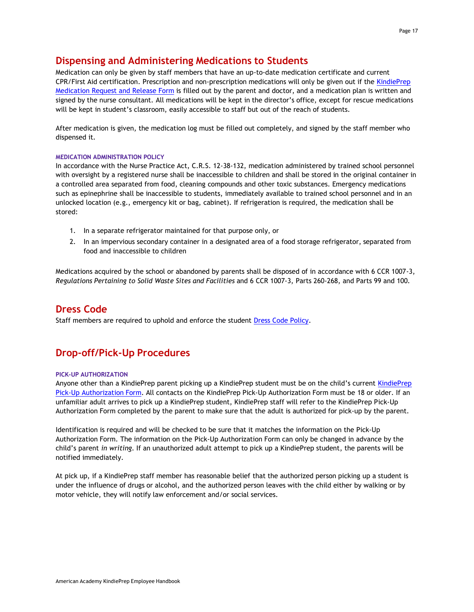# **Dispensing and Administering Medications to Students**

Medication can only be given by staff members that have an up-to-date medication certificate and current CPR/First Aid certification. Prescription and non-prescription medications will only be given out if the [KindiePrep](http://www.americanacademyk8.org/aastaffhome/bod/forms/medical/MedicationAuthorizationForm.pdf) [Medication Request](http://www.americanacademyk8.org/aastaffhome/bod/forms/medical/MedicationAuthorizationForm.pdf) and Release Form is filled out by the parent and doctor, and a medication plan is written and signed by the nurse consultant. All medications will be kept in the director's office, except for rescue medications will be kept in student's classroom, easily accessible to staff but out of the reach of students.

After medication is given, the medication log must be filled out completely, and signed by the staff member who dispensed it.

#### **MEDICATION ADMINISTRATION POLICY**

In accordance with the Nurse Practice Act, C.R.S. 12-38-132, medication administered by trained school personnel with oversight by a registered nurse shall be inaccessible to children and shall be stored in the original container in a controlled area separated from food, cleaning compounds and other toxic substances. Emergency medications such as epinephrine shall be inaccessible to students, immediately available to trained school personnel and in an unlocked location (e.g., emergency kit or bag, cabinet). If refrigeration is required, the medication shall be stored:

- 1. In a separate refrigerator maintained for that purpose only, or
- 2. In an impervious secondary container in a designated area of a food storage refrigerator, separated from food and inaccessible to children

Medications acquired by the school or abandoned by parents shall be disposed of in accordance with 6 CCR 1007-3, *Regulations Pertaining to Solid Waste Sites and Facilities* and 6 CCR 1007-3, Parts 260-268, and Parts 99 and 100.

## **Dress Code**

Staff members are required to uphold and enforce the student [Dress Code Policy.](https://kp.aak8.org/apps/pages/kp-about-dresscode)

# **Drop-off/Pick-Up Procedures**

#### **PICK-UP AUTHORIZATION**

Anyone other than a KindiePrep parent picking up a KindiePrep student must be on the child's current [KindiePrep](http://www.americanacademyk8.org/aastaffhome/bod/forms/kindieprep/KindiePrepPickUpAuthorizationForm.pdf) Pick-Up [Authorization](http://www.americanacademyk8.org/aastaffhome/bod/forms/kindieprep/KindiePrepPickUpAuthorizationForm.pdf) Form. All contacts on the KindiePrep Pick-Up Authorization Form must be 18 or older. If an unfamiliar adult arrives to pick up a KindiePrep student, KindiePrep staff will refer to the KindiePrep Pick-Up Authorization Form completed by the parent to make sure that the adult is authorized for pick-up by the parent.

Identification is required and will be checked to be sure that it matches the information on the Pick-Up Authorization Form. The information on the Pick-Up Authorization Form can only be changed in advance by the child's parent *in writing.* If an unauthorized adult attempt to pick up a KindiePrep student, the parents will be notified immediately.

At pick up, if a KindiePrep staff member has reasonable belief that the authorized person picking up a student is under the influence of drugs or alcohol, and the authorized person leaves with the child either by walking or by motor vehicle, they will notify law enforcement and/or social services.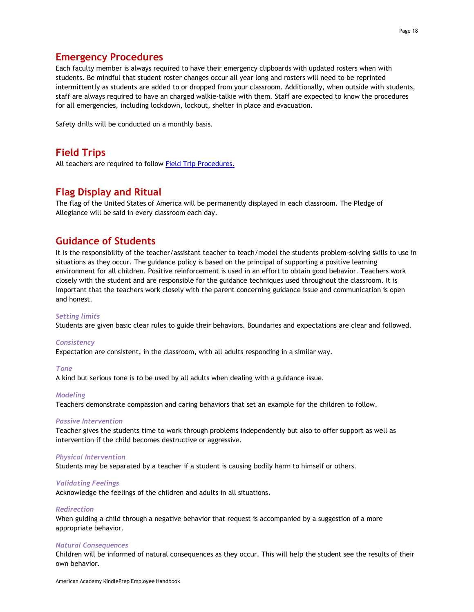# **Emergency Procedures**

Each faculty member is always required to have their emergency clipboards with updated rosters when with students. Be mindful that student roster changes occur all year long and rosters will need to be reprinted intermittently as students are added to or dropped from your classroom. Additionally, when outside with students, staff are always required to have an charged walkie-talkie with them. Staff are expected to know the procedures for all emergencies, including lockdown, lockout, shelter in place and evacuation.

Safety drills will be conducted on a monthly basis.

## **Field Trips**

All teachers are required to follow **[Field Trip Procedures.](http://www.americanacademyk8.org/aastaffhome/BOD/procedures/FieldTripProcedure.pdf)** 

## **Flag Display and Ritual**

The flag of the United States of America will be permanently displayed in each classroom. The Pledge of Allegiance will be said in every classroom each day.

## **Guidance of Students**

It is the responsibility of the teacher/assistant teacher to teach/model the students problem-solving skills to use in situations as they occur. The guidance policy is based on the principal of supporting a positive learning environment for all children. Positive reinforcement is used in an effort to obtain good behavior. Teachers work closely with the student and are responsible for the guidance techniques used throughout the classroom. It is important that the teachers work closely with the parent concerning guidance issue and communication is open and honest.

#### *Setting limits*

Students are given basic clear rules to guide their behaviors. Boundaries and expectations are clear and followed.

#### *Consistency*

Expectation are consistent, in the classroom, with all adults responding in a similar way.

#### *Tone*

A kind but serious tone is to be used by all adults when dealing with a guidance issue.

#### *Modeling*

Teachers demonstrate compassion and caring behaviors that set an example for the children to follow.

#### *Passive Intervention*

Teacher gives the students time to work through problems independently but also to offer support as well as intervention if the child becomes destructive or aggressive.

#### *Physical Intervention*

Students may be separated by a teacher if a student is causing bodily harm to himself or others.

#### *Validating Feelings*

Acknowledge the feelings of the children and adults in all situations.

#### *Redirection*

When guiding a child through a negative behavior that request is accompanied by a suggestion of a more appropriate behavior.

#### *Natural Consequences*

Children will be informed of natural consequences as they occur. This will help the student see the results of their own behavior.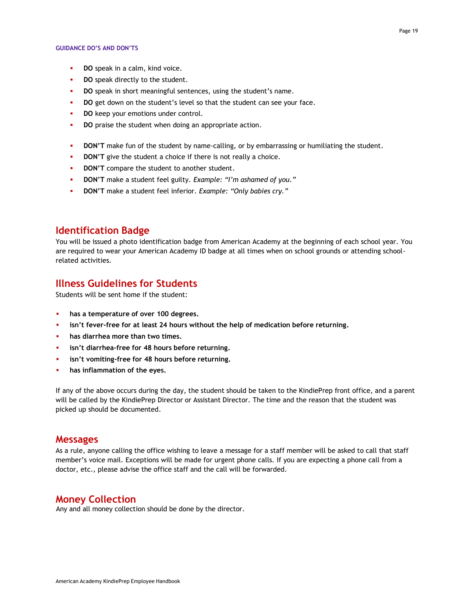- **DO** speak in a calm, kind voice.
- **DO** speak directly to the student.
- **DO** speak in short meaningful sentences, using the student's name.
- **DO** get down on the student's level so that the student can see your face.
- **DO** keep your emotions under control.
- **DO** praise the student when doing an appropriate action.
- **DON'T** make fun of the student by name-calling, or by embarrassing or humiliating the student.
- **DON'T** give the student a choice if there is not really a choice.
- **DON'T** compare the student to another student.
- **DON'T** make a student feel guilty. *Example: "I'm ashamed of you."*
- **DON'T** make a student feel inferior. *Example: "Only babies cry."*

#### **Identification Badge**

You will be issued a photo identification badge from American Academy at the beginning of each school year. You are required to wear your American Academy ID badge at all times when on school grounds or attending schoolrelated activities.

## **Illness Guidelines for Students**

Students will be sent home if the student:

- **has a temperature of over 100 degrees.**
- **isn't fever-free for at least 24 hours without the help of medication before returning.**
- **has diarrhea more than two times.**
- **isn't diarrhea-free for 48 hours before returning.**
- **isn't vomiting-free for 48 hours before returning.**
- **has inflammation of the eyes.**

If any of the above occurs during the day, the student should be taken to the KindiePrep front office, and a parent will be called by the KindiePrep Director or Assistant Director. The time and the reason that the student was picked up should be documented.

#### **Messages**

As a rule, anyone calling the office wishing to leave a message for a staff member will be asked to call that staff member's voice mail. Exceptions will be made for urgent phone calls. If you are expecting a phone call from a doctor, etc., please advise the office staff and the call will be forwarded.

#### **Money Collection**

Any and all money collection should be done by the director.